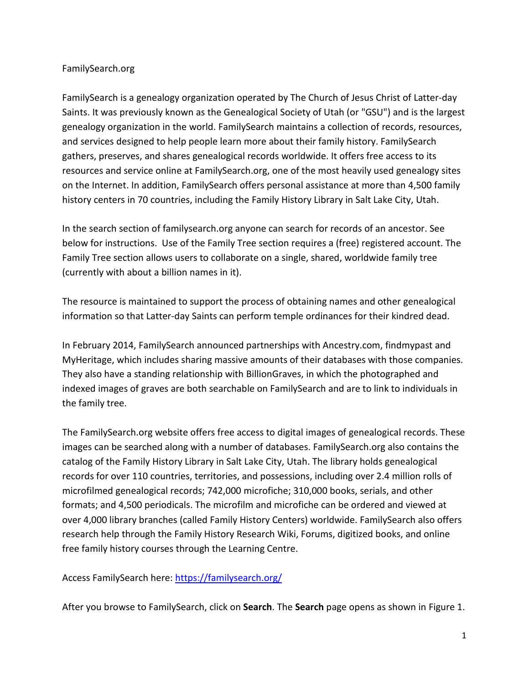### FamilySearch.org

FamilySearch is a genealogy organization operated by The Church of Jesus Christ of Latter-day Saints. It was previously known as the Genealogical Society of Utah (or "GSU") and is the largest genealogy organization in the world. FamilySearch maintains a collection of records, resources, and services designed to help people learn more about their family history. FamilySearch gathers, preserves, and shares genealogical records worldwide. It offers free access to its resources and service online at FamilySearch.org, one of the most heavily used genealogy sites on the Internet. In addition, FamilySearch offers personal assistance at more than 4,500 family history centers in 70 countries, including the Family History Library in Salt Lake City, Utah.

In the search section of familysearch.org anyone can search for records of an ancestor. See below for instructions. Use of the Family Tree section requires a (free) registered account. The Family Tree section allows users to collaborate on a single, shared, worldwide family tree (currently with about a billion names in it).

The resource is maintained to support the process of obtaining names and other genealogical information so that Latter-day Saints can perform temple ordinances for their kindred dead.

In February 2014, FamilySearch announced partnerships with Ancestry.com, findmypast and MyHeritage, which includes sharing massive amounts of their databases with those companies. They also have a standing relationship with BillionGraves, in which the photographed and indexed images of graves are both searchable on FamilySearch and are to link to individuals in the family tree.

The FamilySearch.org website offers free access to digital images of genealogical records. These images can be searched along with a number of databases. FamilySearch.org also contains the catalog of the Family History Library in Salt Lake City, Utah. The library holds genealogical records for over 110 countries, territories, and possessions, including over 2.4 million rolls of microfilmed genealogical records; 742,000 microfiche; 310,000 books, serials, and other formats; and 4,500 periodicals. The microfilm and microfiche can be ordered and viewed at over 4,000 library branches (called Family History Centers) worldwide. FamilySearch also offers research help through the Family History Research Wiki, Forums, digitized books, and online free family history courses through the Learning Centre.

Access FamilySearch here:<https://familysearch.org/>

After you browse to FamilySearch, click on **Search**. The **Search** page opens as shown in Figure 1.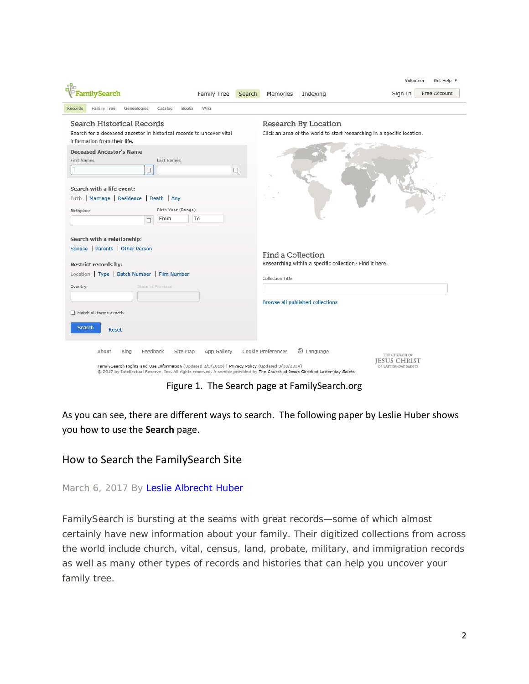|                                                                                                                                                                                                                                                                                            | Volunteer<br>Get Help v                                                                          |  |  |  |
|--------------------------------------------------------------------------------------------------------------------------------------------------------------------------------------------------------------------------------------------------------------------------------------------|--------------------------------------------------------------------------------------------------|--|--|--|
| <b>amilySearch</b><br>Family Tree<br>Search                                                                                                                                                                                                                                                | Free Account<br>Sign In<br>Memories<br>Indexing                                                  |  |  |  |
| Wiki<br>Family Tree<br>Genealogies<br>Catalog<br><b>Books</b><br>Records                                                                                                                                                                                                                   |                                                                                                  |  |  |  |
| Search Historical Records                                                                                                                                                                                                                                                                  | Research By Location                                                                             |  |  |  |
| Search for a deceased ancestor in historical records to uncover vital<br>information from their life.                                                                                                                                                                                      | Click an area of the world to start researching in a specific location.                          |  |  |  |
| <b>Deceased Ancestor's Name</b><br><b>First Names</b><br>Last Names<br>$\Box$<br>□                                                                                                                                                                                                         |                                                                                                  |  |  |  |
| Search with a life event:                                                                                                                                                                                                                                                                  |                                                                                                  |  |  |  |
| Birth   Marriage   Residence   Death   Any                                                                                                                                                                                                                                                 |                                                                                                  |  |  |  |
| Birth Year (Range)<br>Birthplace<br>To<br>From<br>□                                                                                                                                                                                                                                        |                                                                                                  |  |  |  |
| Search with a relationship:                                                                                                                                                                                                                                                                |                                                                                                  |  |  |  |
| Spouse   Parents   Other Person                                                                                                                                                                                                                                                            | Find a Collection                                                                                |  |  |  |
| <b>Restrict records by:</b>                                                                                                                                                                                                                                                                | Researching within a specific collection? Find it here.                                          |  |  |  |
| Location   Type   Batch Number   Film Number                                                                                                                                                                                                                                               | Collection Title                                                                                 |  |  |  |
| Country<br><b>State or Province</b>                                                                                                                                                                                                                                                        |                                                                                                  |  |  |  |
|                                                                                                                                                                                                                                                                                            | <b>Browse all published collections</b>                                                          |  |  |  |
| Match all terms exactly                                                                                                                                                                                                                                                                    |                                                                                                  |  |  |  |
| Search<br>Reset                                                                                                                                                                                                                                                                            |                                                                                                  |  |  |  |
| App Gallery<br>Feedback<br>Site Map<br>About<br>Blog<br>FamilySearch Rights and Use Information (Updated 2/3/2015)   Privacy Policy (Updated 3/18/2014)<br>@ 2017 by Intellectual Reserve, Inc. All rights reserved. A service provided by The Church of Jesus Christ of Latter-day Saints | Cookie Preferences<br>C Language<br>THE CHURCH OF<br><b>JESUS CHRIST</b><br>OF LATTER-DAY SAINTS |  |  |  |

Figure 1. The Search page at FamilySearch.org

As you can see, there are different ways to search. The following paper by Leslie Huber shows you how to use the **Search** page.

### How to Search the FamilySearch Site

March 6, 2017 By [Leslie Albrecht Huber](https://familysearch.org/blog/en/author/lahuber/)

FamilySearch is bursting at the seams with great records—some of which almost certainly have new information about your family. Their digitized collections from across the world include church, vital, census, land, probate, military, and immigration records as well as many other types of records and histories that can help you uncover your family tree.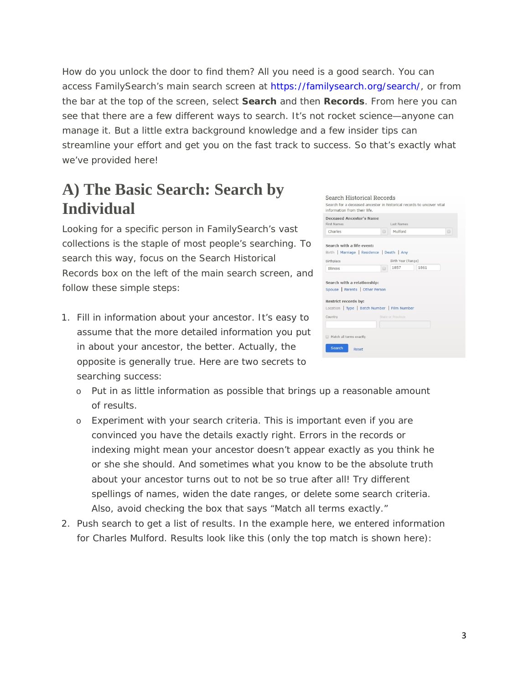How do you unlock the door to find them? All you need is a good search. You can access FamilySearch's main search screen at [https://familysearch.org/search/,](https://familysearch.org/search/) or from the bar at the top of the screen, select **Search** and then **Records**. From here you can see that there are a few different ways to search. It's not rocket science—anyone can manage it. But a little extra background knowledge and a few insider tips can streamline your effort and get you on the fast track to success. So that's exactly what we've provided here!

# **A) The Basic Search: Search by Individual**

Looking for a specific person in FamilySearch's vast collections is the staple of most people's searching. To search this way, focus on the Search Historical Records box on the left of the main search screen, and follow these simple steps:

1. Fill in information about your ancestor. It's easy to assume that the more detailed information you put in about your ancestor, the better. Actually, the opposite is generally true. Here are two secrets to searching success:

| <b>First Names</b>                                      | Deceased Ancestor's Name | <b>Last Names</b>  |      |   |  |  |
|---------------------------------------------------------|--------------------------|--------------------|------|---|--|--|
| Charles                                                 | $\Box$                   | Mulford            |      | 0 |  |  |
| Search with a life event:                               |                          |                    |      |   |  |  |
| Birth   Marriage   Residence   Death   Any              |                          |                    |      |   |  |  |
| Birthplace                                              |                          | Birth Year (Range) |      |   |  |  |
| <b>Illinois</b>                                         | $\Box$                   | 1857               | 1861 |   |  |  |
| Spouse   Parents   Other Person<br>Restrict records by: |                          |                    |      |   |  |  |
| Location   Type   Batch Number   Film Number            |                          |                    |      |   |  |  |
|                                                         |                          | State or Province  |      |   |  |  |
|                                                         |                          |                    |      |   |  |  |
| Country                                                 |                          |                    |      |   |  |  |
| Match all terms exactly                                 |                          |                    |      |   |  |  |

- o Put in as little information as possible that brings up a reasonable amount of results.
- o Experiment with your search criteria. This is important even if you are convinced you have the details exactly right. Errors in the records or indexing might mean your ancestor doesn't appear exactly as you think he or she she should. And sometimes what you know to be the absolute truth about your ancestor turns out to not be so true after all! Try different spellings of names, widen the date ranges, or delete some search criteria. Also, avoid checking the box that says "Match all terms exactly."
- 2. Push search to get a list of results. In the example here, we entered information for Charles Mulford. Results look like this (only the top match is shown here):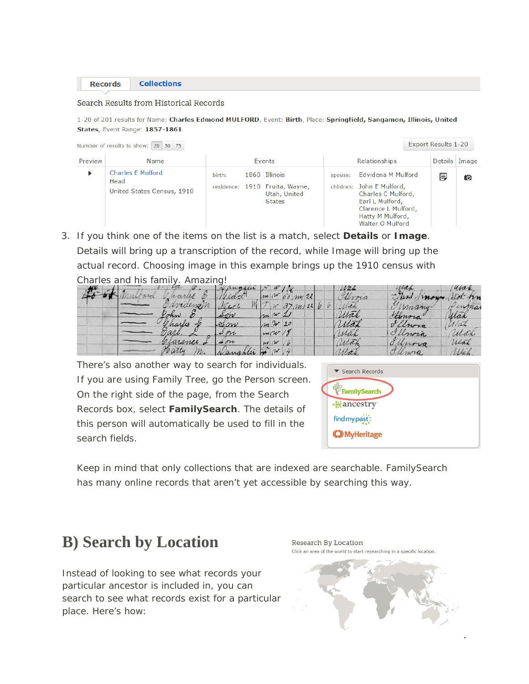**Collections** 

#### Search Results from Historical Records

1-20 of 201 results for Name: Charles Edmond MULFORD, Event: Birth, Place: Springfield, Sangamon, Illinois, United States, Event Range: 1857-1861

|         | Number of results to show: 20 50 75                            |        |               |                                                                                  |         |                                                                                                                                                         | <b>Export Results 1-20</b> |     |
|---------|----------------------------------------------------------------|--------|---------------|----------------------------------------------------------------------------------|---------|---------------------------------------------------------------------------------------------------------------------------------------------------------|----------------------------|-----|
| Preview | Name                                                           |        | <b>Fvents</b> |                                                                                  |         | Relationships                                                                                                                                           |                            |     |
| ь       | <b>Charles E Mulford</b><br>Head<br>United States Census, 1910 | birth: |               | 1860 Illinois<br>residence: 1910 Fruita, Wayne,<br>Utah, United<br><b>States</b> | spouse: | Edvidena M Mulford<br>children: John E Mulford,<br>Charles C Mulford,<br>Earl L Mulford,<br>Clarence L Mulford,<br>Hatty M Mulford,<br>Walter O Mulford | 厚                          | íO. |

3. If you think one of the items on the list is a match, select **Details** or **Image**. Details will bring up a transcription of the record, while Image will bring up the actual record. Choosing image in this example brings up the 1910 census with Charles and his family. Amazing!

|  |                         |                          |                      | Wah | Mah     | uvan     |
|--|-------------------------|--------------------------|----------------------|-----|---------|----------|
|  |                         |                          | no<br>750            |     | $\sim$  | $\neg$   |
|  | raengin                 |                          | W/2L                 |     | comany. | mar      |
|  | ohn                     | son                      | $\mu$ $\mu$ $\sigma$ | Mah | Honora" | yran     |
|  | harles<br>$\mathcal{A}$ | $\alpha\nu$              | m 2 20               |     | Crora   | $\alpha$ |
|  | gari<br>↗               | on                       | m(W/8)               | Max | Ellnora | Mah      |
|  | arence 2                | $\rightarrow \sigma \nu$ | w w                  | un  | nova    | rtak     |
|  | vary<br>m.              | Nassanta                 | $\sim$               |     | anoro   | 11182.   |

There's also another way to search for individuals. If you are using Family Tree, go the Person screen. On the right side of the page, from the Search Records box, select **FamilySearch**. The details of this person will automatically be used to fill in the search fields.



Keep in mind that only collections that are indexed are searchable. FamilySearch has many online records that aren't yet accessible by searching this way.

## **B) Search by Location**

Instead of looking to see what records your particular ancestor is included in, you can search to see what records exist for a particular place. Here's how: